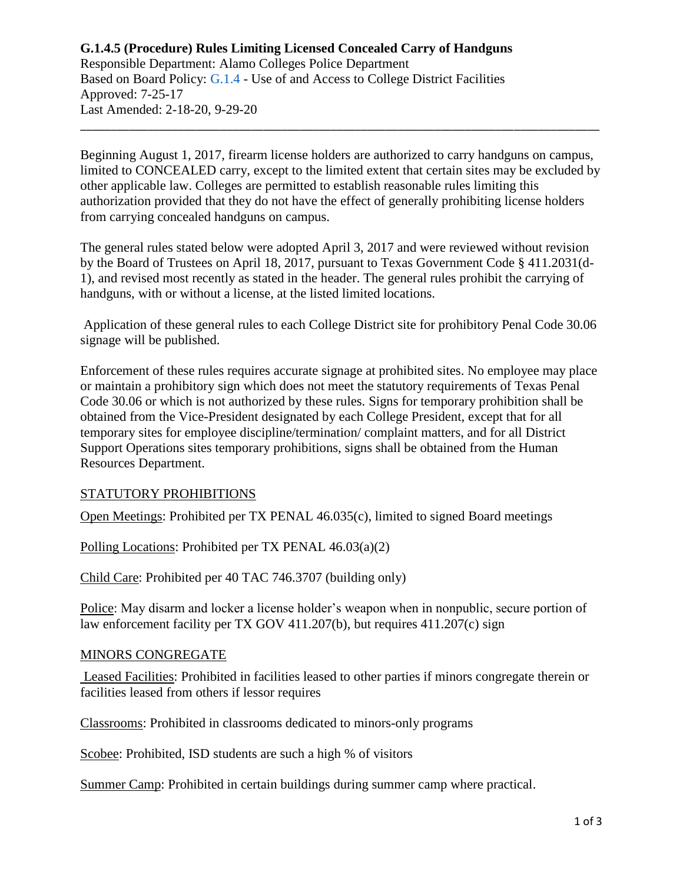# **G.1.4.5 (Procedure) Rules Limiting Licensed Concealed Carry of Handguns**

Responsible Department: Alamo Colleges Police Department Based on Board Policy: [G.1.4](https://www.alamo.edu/siteassets/district/about-us/leadership/board-of-trustees/policies-pdfs/section-g/g.1.4-policy2.pdf) - Use of and Access to College District Facilities Approved: 7-25-17 Last Amended: 2-18-20, 9-29-20

Beginning August 1, 2017, firearm license holders are authorized to carry handguns on campus, limited to CONCEALED carry, except to the limited extent that certain sites may be excluded by other applicable law. Colleges are permitted to establish reasonable rules limiting this authorization provided that they do not have the effect of generally prohibiting license holders from carrying concealed handguns on campus.

\_\_\_\_\_\_\_\_\_\_\_\_\_\_\_\_\_\_\_\_\_\_\_\_\_\_\_\_\_\_\_\_\_\_\_\_\_\_\_\_\_\_\_\_\_\_\_\_\_\_\_\_\_\_\_\_\_\_\_\_\_\_\_\_\_\_\_\_\_\_\_\_\_\_\_\_\_\_\_\_\_\_\_\_\_

The general rules stated below were adopted April 3, 2017 and were reviewed without revision by the Board of Trustees on April 18, 2017, pursuant to Texas Government Code § 411.2031(d-1), and revised most recently as stated in the header. The general rules prohibit the carrying of handguns, with or without a license, at the listed limited locations.

Application of these general rules to each College District site for prohibitory Penal Code 30.06 signage will be published.

Enforcement of these rules requires accurate signage at prohibited sites. No employee may place or maintain a prohibitory sign which does not meet the statutory requirements of Texas Penal Code 30.06 or which is not authorized by these rules. Signs for temporary prohibition shall be obtained from the Vice-President designated by each College President, except that for all temporary sites for employee discipline/termination/ complaint matters, and for all District Support Operations sites temporary prohibitions, signs shall be obtained from the Human Resources Department.

### STATUTORY PROHIBITIONS

Open Meetings: Prohibited per TX PENAL 46.035(c), limited to signed Board meetings

Polling Locations: Prohibited per TX PENAL 46.03(a)(2)

Child Care: Prohibited per 40 TAC 746.3707 (building only)

Police: May disarm and locker a license holder's weapon when in nonpublic, secure portion of law enforcement facility per TX GOV 411.207(b), but requires 411.207(c) sign

### MINORS CONGREGATE

Leased Facilities: Prohibited in facilities leased to other parties if minors congregate therein or facilities leased from others if lessor requires

Classrooms: Prohibited in classrooms dedicated to minors-only programs

Scobee: Prohibited, ISD students are such a high % of visitors

Summer Camp: Prohibited in certain buildings during summer camp where practical.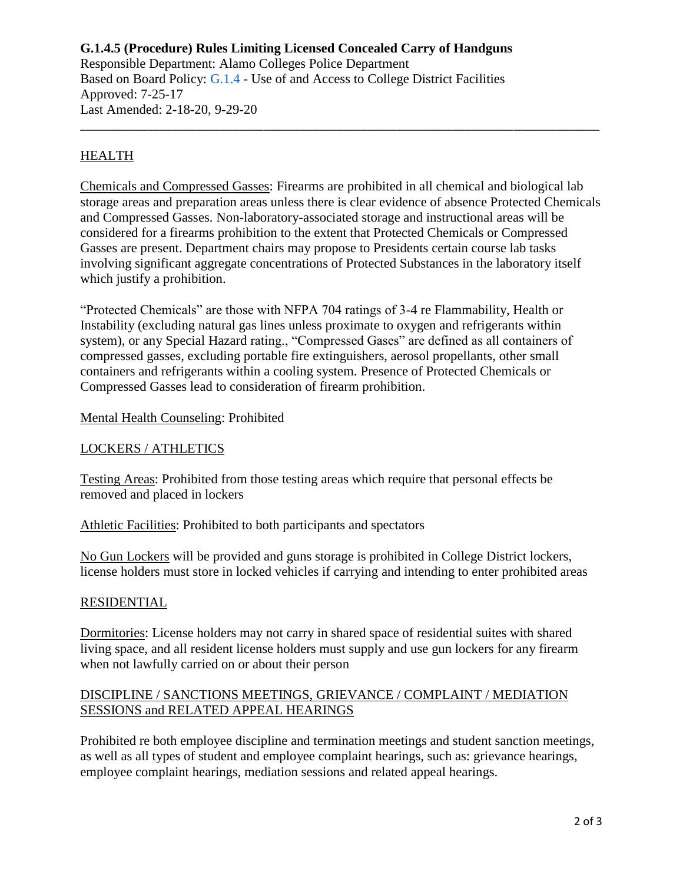#### **G.1.4.5 (Procedure) Rules Limiting Licensed Concealed Carry of Handguns**  Responsible Department: Alamo Colleges Police Department Based on Board Policy: [G.1.4](https://www.alamo.edu/siteassets/district/about-us/leadership/board-of-trustees/policies-pdfs/section-g/g.1.4-policy2.pdf) - Use of and Access to College District Facilities Approved: 7-25-17

Last Amended: 2-18-20, 9-29-20

## **HEALTH**

Chemicals and Compressed Gasses: Firearms are prohibited in all chemical and biological lab storage areas and preparation areas unless there is clear evidence of absence Protected Chemicals and Compressed Gasses. Non-laboratory-associated storage and instructional areas will be considered for a firearms prohibition to the extent that Protected Chemicals or Compressed Gasses are present. Department chairs may propose to Presidents certain course lab tasks involving significant aggregate concentrations of Protected Substances in the laboratory itself which justify a prohibition.

\_\_\_\_\_\_\_\_\_\_\_\_\_\_\_\_\_\_\_\_\_\_\_\_\_\_\_\_\_\_\_\_\_\_\_\_\_\_\_\_\_\_\_\_\_\_\_\_\_\_\_\_\_\_\_\_\_\_\_\_\_\_\_\_\_\_\_\_\_\_\_\_\_\_\_\_\_\_\_\_\_\_\_\_\_

"Protected Chemicals" are those with NFPA 704 ratings of 3-4 re Flammability, Health or Instability (excluding natural gas lines unless proximate to oxygen and refrigerants within system), or any Special Hazard rating., "Compressed Gases" are defined as all containers of compressed gasses, excluding portable fire extinguishers, aerosol propellants, other small containers and refrigerants within a cooling system. Presence of Protected Chemicals or Compressed Gasses lead to consideration of firearm prohibition.

### Mental Health Counseling: Prohibited

## LOCKERS / ATHLETICS

Testing Areas: Prohibited from those testing areas which require that personal effects be removed and placed in lockers

Athletic Facilities: Prohibited to both participants and spectators

No Gun Lockers will be provided and guns storage is prohibited in College District lockers, license holders must store in locked vehicles if carrying and intending to enter prohibited areas

### RESIDENTIAL

Dormitories: License holders may not carry in shared space of residential suites with shared living space, and all resident license holders must supply and use gun lockers for any firearm when not lawfully carried on or about their person

## DISCIPLINE / SANCTIONS MEETINGS, GRIEVANCE / COMPLAINT / MEDIATION SESSIONS and RELATED APPEAL HEARINGS

Prohibited re both employee discipline and termination meetings and student sanction meetings, as well as all types of student and employee complaint hearings, such as: grievance hearings, employee complaint hearings, mediation sessions and related appeal hearings.